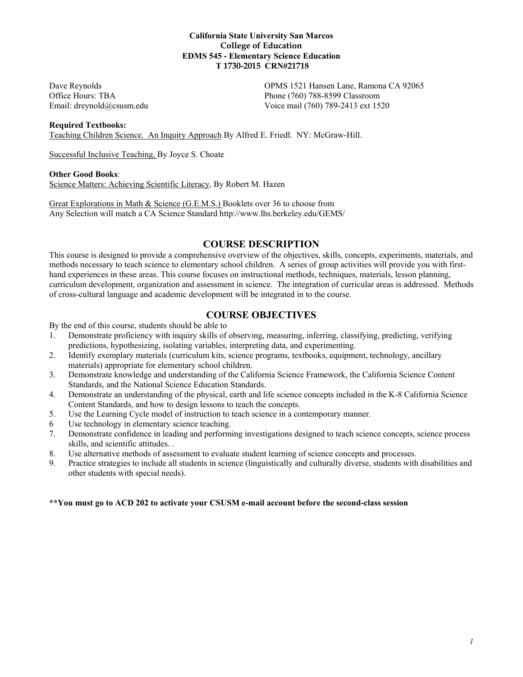#### **California State University San Marcos College of Education EDMS 545 - Elementary Science Education T 1730-2015 CRN#21718**

Dave Reynolds OPMS 1521 Hansen Lane, Ramona CA 92065 Office Hours: TBA Phone (760) 788-8599 Classroom Email: dreynold@csusm.edu Voice mail (760) 789-2413 ext 1520

#### **Required Textbooks:**

Teaching Children Science. An Inquiry Approach By Alfred E. Friedl. NY: McGraw-Hill.

Successful Inclusive Teaching, By Joyce S. Choate

#### **Other Good Books**:

Science Matters: Achieving Scientific Literacy, By Robert M. Hazen

Great Explorations in Math & Science (G.E.M.S.) Booklets over 36 to choose from Any Selection will match a CA Science Standard http://www.lhs.berkeley.edu/GEMS/

## **COURSE DESCRIPTION**

This course is designed to provide a comprehensive overview of the objectives, skills, concepts, experiments, materials, and methods necessary to teach science to elementary school children. A series of group activities will provide you with firsthand experiences in these areas. This course focuses on instructional methods, techniques, materials, lesson planning, curriculum development, organization and assessment in science. The integration of curricular areas is addressed. Methods of cross-cultural language and academic development will be integrated in to the course.

# **COURSE OBJECTIVES**

By the end of this course, students should be able to

- 1. Demonstrate proficiency with inquiry skills of observing, measuring, inferring, classifying, predicting, verifying predictions, hypothesizing, isolating variables, interpreting data, and experimenting.
- 2. Identify exemplary materials (curriculum kits, science programs, textbooks, equipment, technology, ancillary materials) appropriate for elementary school children.
- 3. Demonstrate knowledge and understanding of the California Science Framework, the California Science Content Standards, and the National Science Education Standards.
- 4. Demonstrate an understanding of the physical, earth and life science concepts included in the K-8 California Science Content Standards, and how to design lessons to teach the concepts.
- 5. Use the Learning Cycle model of instruction to teach science in a contemporary manner.
- 6 Use technology in elementary science teaching.
- 7. Demonstrate confidence in leading and performing investigations designed to teach science concepts, science process skills, and scientific attitudes. .
- 8. Use alternative methods of assessment to evaluate student learning of science concepts and processes.
- 9. Practice strategies to include all students in science (linguistically and culturally diverse, students with disabilities and other students with special needs).

#### **\*\*You must go to ACD 202 to activate your CSUSM e-mail account before the second-class session**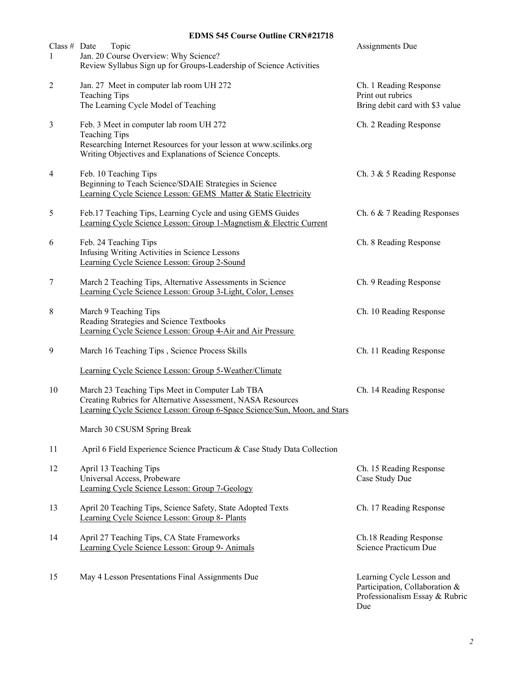# **EDMS 545 Course Outline CRN#21718**

| Class # Date<br>1 | Topic<br>Jan. 20 Course Overview: Why Science?<br>Review Syllabus Sign up for Groups-Leadership of Science Activities                                                                             | Assignments Due                                                                                      |
|-------------------|---------------------------------------------------------------------------------------------------------------------------------------------------------------------------------------------------|------------------------------------------------------------------------------------------------------|
| $\overline{2}$    | Jan. 27 Meet in computer lab room UH 272<br><b>Teaching Tips</b><br>The Learning Cycle Model of Teaching                                                                                          | Ch. 1 Reading Response<br>Print out rubrics<br>Bring debit card with \$3 value                       |
| $\mathfrak{Z}$    | Feb. 3 Meet in computer lab room UH 272<br><b>Teaching Tips</b><br>Researching Internet Resources for your lesson at www.scilinks.org<br>Writing Objectives and Explanations of Science Concepts. | Ch. 2 Reading Response                                                                               |
| 4                 | Feb. 10 Teaching Tips<br>Beginning to Teach Science/SDAIE Strategies in Science<br>Learning Cycle Science Lesson: GEMS Matter & Static Electricity                                                | Ch. 3 & 5 Reading Response                                                                           |
| 5                 | Feb.17 Teaching Tips, Learning Cycle and using GEMS Guides<br>Learning Cycle Science Lesson: Group 1-Magnetism & Electric Current                                                                 | Ch. 6 & 7 Reading Responses                                                                          |
| 6                 | Feb. 24 Teaching Tips<br>Infusing Writing Activities in Science Lessons<br>Learning Cycle Science Lesson: Group 2-Sound                                                                           | Ch. 8 Reading Response                                                                               |
| 7                 | March 2 Teaching Tips, Alternative Assessments in Science<br>Learning Cycle Science Lesson: Group 3-Light, Color, Lenses                                                                          | Ch. 9 Reading Response                                                                               |
| 8                 | March 9 Teaching Tips<br>Reading Strategies and Science Textbooks<br>Learning Cycle Science Lesson: Group 4-Air and Air Pressure                                                                  | Ch. 10 Reading Response                                                                              |
| 9                 | March 16 Teaching Tips, Science Process Skills                                                                                                                                                    | Ch. 11 Reading Response                                                                              |
|                   | Learning Cycle Science Lesson: Group 5-Weather/Climate                                                                                                                                            |                                                                                                      |
| 10                | March 23 Teaching Tips Meet in Computer Lab TBA<br>Creating Rubrics for Alternative Assessment, NASA Resources<br>Learning Cycle Science Lesson: Group 6-Space Science/Sun, Moon, and Stars       | Ch. 14 Reading Response                                                                              |
|                   | March 30 CSUSM Spring Break                                                                                                                                                                       |                                                                                                      |
| 11                | April 6 Field Experience Science Practicum & Case Study Data Collection                                                                                                                           |                                                                                                      |
| 12                | April 13 Teaching Tips<br>Universal Access, Probeware<br>Learning Cycle Science Lesson: Group 7-Geology                                                                                           | Ch. 15 Reading Response<br>Case Study Due                                                            |
| 13                | April 20 Teaching Tips, Science Safety, State Adopted Texts<br>Learning Cycle Science Lesson: Group 8- Plants                                                                                     | Ch. 17 Reading Response                                                                              |
| 14                | April 27 Teaching Tips, CA State Frameworks<br>Learning Cycle Science Lesson: Group 9- Animals                                                                                                    | Ch.18 Reading Response<br>Science Practicum Due                                                      |
| 15                | May 4 Lesson Presentations Final Assignments Due                                                                                                                                                  | Learning Cycle Lesson and<br>Participation, Collaboration &<br>Professionalism Essay & Rubric<br>Due |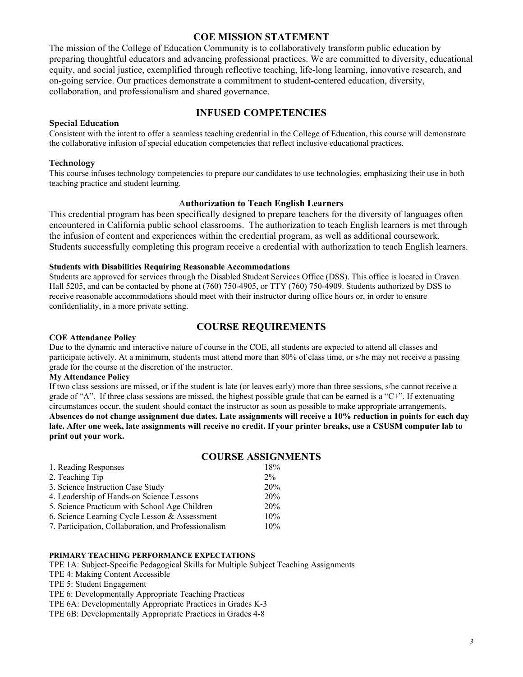## **COE MISSION STATEMENT**

The mission of the College of Education Community is to collaboratively transform public education by preparing thoughtful educators and advancing professional practices. We are committed to diversity, educational equity, and social justice, exemplified through reflective teaching, life-long learning, innovative research, and on-going service. Our practices demonstrate a commitment to student-centered education, diversity, collaboration, and professionalism and shared governance.

# **INFUSED COMPETENCIES**

#### **Special Education**

Consistent with the intent to offer a seamless teaching credential in the College of Education, this course will demonstrate the collaborative infusion of special education competencies that reflect inclusive educational practices.

#### **Technology**

This course infuses technology competencies to prepare our candidates to use technologies, emphasizing their use in both teaching practice and student learning.

### A**uthorization to Teach English Learners**

This credential program has been specifically designed to prepare teachers for the diversity of languages often encountered in California public school classrooms. The authorization to teach English learners is met through the infusion of content and experiences within the credential program, as well as additional coursework. Students successfully completing this program receive a credential with authorization to teach English learners.

#### **Students with Disabilities Requiring Reasonable Accommodations**

Students are approved for services through the Disabled Student Services Office (DSS). This office is located in Craven Hall 5205, and can be contacted by phone at (760) 750-4905, or TTY (760) 750-4909. Students authorized by DSS to receive reasonable accommodations should meet with their instructor during office hours or, in order to ensure confidentiality, in a more private setting.

# **COURSE REQUIREMENTS**

#### **COE Attendance Policy**

Due to the dynamic and interactive nature of course in the COE, all students are expected to attend all classes and participate actively. At a minimum, students must attend more than 80% of class time, or s/he may not receive a passing grade for the course at the discretion of the instructor.

#### **My Attendance Policy**

If two class sessions are missed, or if the student is late (or leaves early) more than three sessions, s/he cannot receive a grade of "A". If three class sessions are missed, the highest possible grade that can be earned is a "C+". If extenuating circumstances occur, the student should contact the instructor as soon as possible to make appropriate arrangements. **Absences do not change assignment due dates. Late assignments will receive a 10% reduction in points for each day late. After one week, late assignments will receive no credit. If your printer breaks, use a CSUSM computer lab to print out your work.** 

|                                                      | <b>COURSE ASSIGNMENTS</b> |
|------------------------------------------------------|---------------------------|
| 1. Reading Responses                                 | 18%                       |
| 2. Teaching Tip                                      | $2\%$                     |
| 3. Science Instruction Case Study                    | 20%                       |
| 4. Leadership of Hands-on Science Lessons            | 20%                       |
| 5. Science Practicum with School Age Children        | 20%                       |
| 6. Science Learning Cycle Lesson & Assessment        | 10%                       |
| 7. Participation, Collaboration, and Professionalism | 10%                       |

### **PRIMARY TEACHING PERFORMANCE EXPECTATIONS**

TPE 1A: Subject-Specific Pedagogical Skills for Multiple Subject Teaching Assignments

TPE 4: Making Content Accessible

TPE 5: Student Engagement

TPE 6: Developmentally Appropriate Teaching Practices

TPE 6A: Developmentally Appropriate Practices in Grades K-3

TPE 6B: Developmentally Appropriate Practices in Grades 4-8

# *3*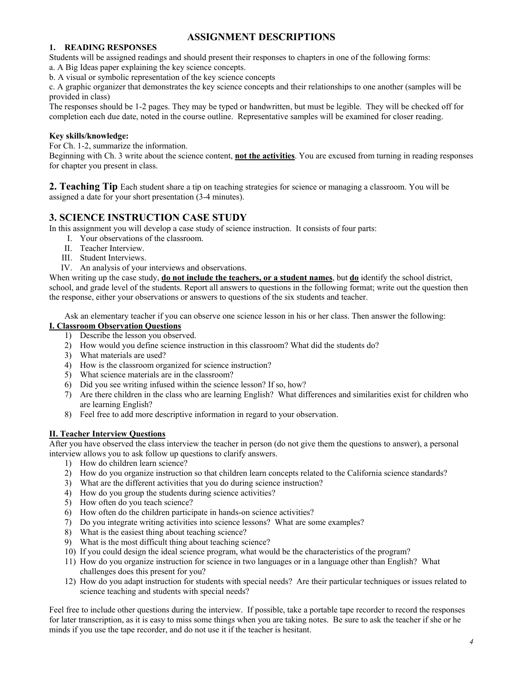# **ASSIGNMENT DESCRIPTIONS**

#### **1. READING RESPONSES**

Students will be assigned readings and should present their responses to chapters in one of the following forms:

a. A Big Ideas paper explaining the key science concepts.

b. A visual or symbolic representation of the key science concepts

c. A graphic organizer that demonstrates the key science concepts and their relationships to one another (samples will be provided in class)

The responses should be 1-2 pages. They may be typed or handwritten, but must be legible. They will be checked off for completion each due date, noted in the course outline. Representative samples will be examined for closer reading.

## **Key skills/knowledge:**

For Ch. 1-2, summarize the information.

Beginning with Ch. 3 write about the science content, **not the activities**. You are excused from turning in reading responses for chapter you present in class.

**2. Teaching Tip** Each student share a tip on teaching strategies for science or managing a classroom. You will be assigned a date for your short presentation (3-4 minutes).

# **3. SCIENCE INSTRUCTION CASE STUDY**

In this assignment you will develop a case study of science instruction. It consists of four parts:

- I. Your observations of the classroom.
- II. Teacher Interview.
- III. Student Interviews.
- IV. An analysis of your interviews and observations.

When writing up the case study, **do not include the teachers, or a student names**, but **do** identify the school district, school, and grade level of the students. Report all answers to questions in the following format; write out the question then the response, either your observations or answers to questions of the six students and teacher.

Ask an elementary teacher if you can observe one science lesson in his or her class. Then answer the following:

## **I. Classroom Observation Questions**

- 1) Describe the lesson you observed.
- 2) How would you define science instruction in this classroom? What did the students do?
- 3) What materials are used?
- 4) How is the classroom organized for science instruction?
- 5) What science materials are in the classroom?
- 6) Did you see writing infused within the science lesson? If so, how?
- 7) Are there children in the class who are learning English? What differences and similarities exist for children who are learning English?
- 8) Feel free to add more descriptive information in regard to your observation.

#### **II. Teacher Interview Questions**

After you have observed the class interview the teacher in person (do not give them the questions to answer), a personal interview allows you to ask follow up questions to clarify answers.

- 1) How do children learn science?
- 2) How do you organize instruction so that children learn concepts related to the California science standards?
- 3) What are the different activities that you do during science instruction?
- 4) How do you group the students during science activities?
- 5) How often do you teach science?
- 6) How often do the children participate in hands-on science activities?
- 7) Do you integrate writing activities into science lessons? What are some examples?
- 8) What is the easiest thing about teaching science?
- 9) What is the most difficult thing about teaching science?
- 10) If you could design the ideal science program, what would be the characteristics of the program?
- 11) How do you organize instruction for science in two languages or in a language other than English? What challenges does this present for you?
- 12) How do you adapt instruction for students with special needs? Are their particular techniques or issues related to science teaching and students with special needs?

Feel free to include other questions during the interview. If possible, take a portable tape recorder to record the responses for later transcription, as it is easy to miss some things when you are taking notes. Be sure to ask the teacher if she or he minds if you use the tape recorder, and do not use it if the teacher is hesitant.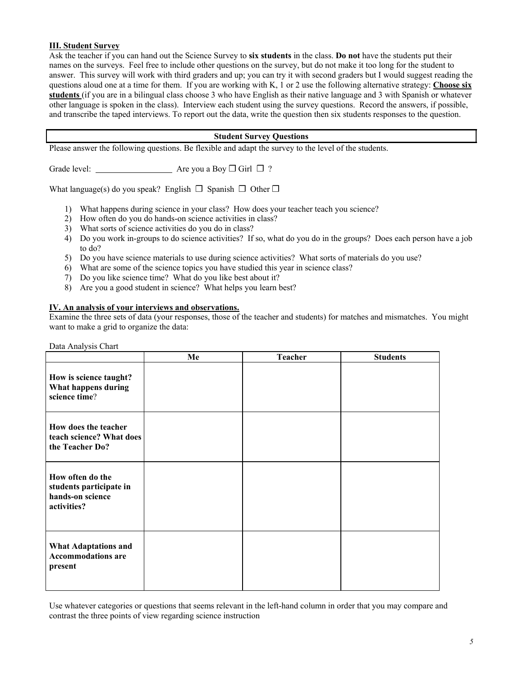#### **III. Student Survey**

Ask the teacher if you can hand out the Science Survey to **six students** in the class. **Do not** have the students put their names on the surveys. Feel free to include other questions on the survey, but do not make it too long for the student to answer. This survey will work with third graders and up; you can try it with second graders but I would suggest reading the questions aloud one at a time for them. If you are working with K, 1 or 2 use the following alternative strategy: **Choose six students** (if you are in a bilingual class choose 3 who have English as their native language and 3 with Spanish or whatever other language is spoken in the class). Interview each student using the survey questions. Record the answers, if possible, and transcribe the taped interviews. To report out the data, write the question then six students responses to the question.

### **Student Survey Questions**

Please answer the following questions. Be flexible and adapt the survey to the level of the students.

Grade level: Are you a Boy ❒ Girl ❒ ?

What language(s) do you speak? English  $\Box$  Spanish  $\Box$  Other  $\Box$ 

- 1) What happens during science in your class? How does your teacher teach you science?
- 2) How often do you do hands-on science activities in class?
- 3) What sorts of science activities do you do in class?
- 4) Do you work in-groups to do science activities? If so, what do you do in the groups? Does each person have a job to do?
- 5) Do you have science materials to use during science activities? What sorts of materials do you use?
- 6) What are some of the science topics you have studied this year in science class?
- 7) Do you like science time? What do you like best about it?
- 8) Are you a good student in science? What helps you learn best?

#### **IV. An analysis of your interviews and observations.**

Examine the three sets of data (your responses, those of the teacher and students) for matches and mismatches. You might want to make a grid to organize the data:

| Data Analysis Chart                                                            |    |                |                 |  |  |
|--------------------------------------------------------------------------------|----|----------------|-----------------|--|--|
|                                                                                | Me | <b>Teacher</b> | <b>Students</b> |  |  |
| How is science taught?<br>What happens during<br>science time?                 |    |                |                 |  |  |
| How does the teacher<br>teach science? What does<br>the Teacher Do?            |    |                |                 |  |  |
| How often do the<br>students participate in<br>hands-on science<br>activities? |    |                |                 |  |  |
| <b>What Adaptations and</b><br><b>Accommodations are</b><br>present            |    |                |                 |  |  |

Use whatever categories or questions that seems relevant in the left-hand column in order that you may compare and contrast the three points of view regarding science instruction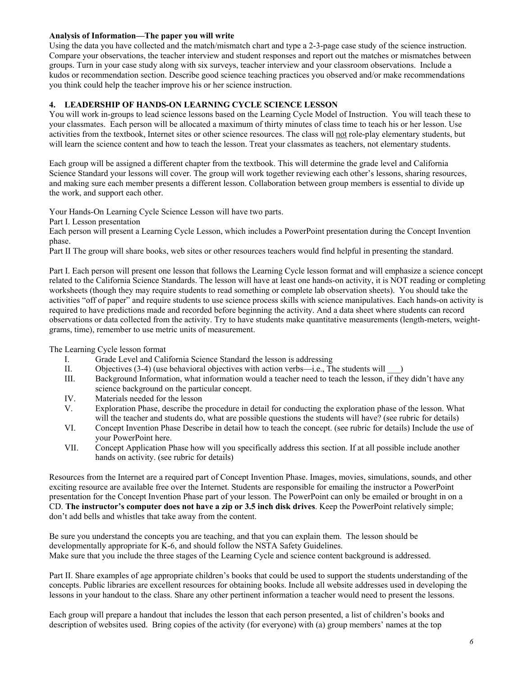### **Analysis of Information—The paper you will write**

Using the data you have collected and the match/mismatch chart and type a 2-3-page case study of the science instruction. Compare your observations, the teacher interview and student responses and report out the matches or mismatches between groups. Turn in your case study along with six surveys, teacher interview and your classroom observations.Include a kudos or recommendation section. Describe good science teaching practices you observed and/or make recommendations you think could help the teacher improve his or her science instruction.

# **4. LEADERSHIP OF HANDS-ON LEARNING CYCLE SCIENCE LESSON**

You will work in-groups to lead science lessons based on the Learning Cycle Model of Instruction. You will teach these to your classmates. Each person will be allocated a maximum of thirty minutes of class time to teach his or her lesson. Use activities from the textbook, Internet sites or other science resources. The class will not role-play elementary students, but will learn the science content and how to teach the lesson. Treat your classmates as teachers, not elementary students.

Each group will be assigned a different chapter from the textbook. This will determine the grade level and California Science Standard your lessons will cover. The group will work together reviewing each other's lessons, sharing resources, and making sure each member presents a different lesson. Collaboration between group members is essential to divide up the work, and support each other.

Your Hands-On Learning Cycle Science Lesson will have two parts.

Part I. Lesson presentation

Each person will present a Learning Cycle Lesson, which includes a PowerPoint presentation during the Concept Invention phase.

Part II The group will share books, web sites or other resources teachers would find helpful in presenting the standard.

Part I. Each person will present one lesson that follows the Learning Cycle lesson format and will emphasize a science concept related to the California Science Standards. The lesson will have at least one hands-on activity, it is NOT reading or completing worksheets (though they may require students to read something or complete lab observation sheets). You should take the activities "off of paper" and require students to use science process skills with science manipulatives. Each hands-on activity is required to have predictions made and recorded before beginning the activity. And a data sheet where students can record observations or data collected from the activity. Try to have students make quantitative measurements (length-meters, weightgrams, time), remember to use metric units of measurement.

The Learning Cycle lesson format

- I. Grade Level and California Science Standard the lesson is addressing
- II. Objectives  $(3-4)$  (use behavioral objectives with action verbs—i.e., The students will
- III. Background Information, what information would a teacher need to teach the lesson, if they didn't have any science background on the particular concept.
- IV. Materials needed for the lesson
- V. Exploration Phase, describe the procedure in detail for conducting the exploration phase of the lesson. What will the teacher and students do, what are possible questions the students will have? (see rubric for details)
- VI. Concept Invention Phase Describe in detail how to teach the concept. (see rubric for details) Include the use of your PowerPoint here.
- VII. Concept Application Phase how will you specifically address this section. If at all possible include another hands on activity. (see rubric for details)

Resources from the Internet are a required part of Concept Invention Phase. Images, movies, simulations, sounds, and other exciting resource are available free over the Internet. Students are responsible for emailing the instructor a PowerPoint presentation for the Concept Invention Phase part of your lesson. The PowerPoint can only be emailed or brought in on a CD. **The instructor's computer does not have a zip or 3.5 inch disk drives**. Keep the PowerPoint relatively simple; don't add bells and whistles that take away from the content.

Be sure you understand the concepts you are teaching, and that you can explain them. The lesson should be developmentally appropriate for K-6, and should follow the NSTA Safety Guidelines. Make sure that you include the three stages of the Learning Cycle and science content background is addressed.

Part II. Share examples of age appropriate children's books that could be used to support the students understanding of the concepts. Public libraries are excellent resources for obtaining books. Include all website addresses used in developing the lessons in your handout to the class. Share any other pertinent information a teacher would need to present the lessons.

Each group will prepare a handout that includes the lesson that each person presented, a list of children's books and description of websites used. Bring copies of the activity (for everyone) with (a) group members' names at the top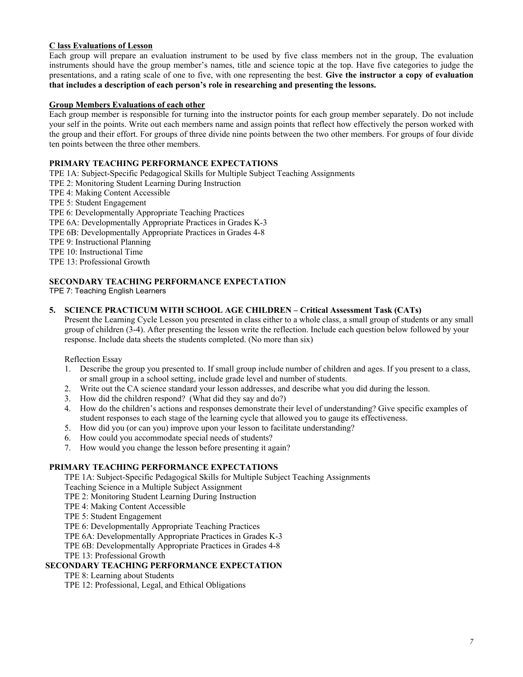### **C lass Evaluations of Lesson**

Each group will prepare an evaluation instrument to be used by five class members not in the group, The evaluation instruments should have the group member's names, title and science topic at the top. Have five categories to judge the presentations, and a rating scale of one to five, with one representing the best. **Give the instructor a copy of evaluation that includes a description of each person's role in researching and presenting the lessons.** 

#### **Group Members Evaluations of each other**

Each group member is responsible for turning into the instructor points for each group member separately. Do not include your self in the points. Write out each members name and assign points that reflect how effectively the person worked with the group and their effort. For groups of three divide nine points between the two other members. For groups of four divide ten points between the three other members.

#### **PRIMARY TEACHING PERFORMANCE EXPECTATIONS**

TPE 1A: Subject-Specific Pedagogical Skills for Multiple Subject Teaching Assignments TPE 2: Monitoring Student Learning During Instruction TPE 4: Making Content Accessible TPE 5: Student Engagement TPE 6: Developmentally Appropriate Teaching Practices TPE 6A: Developmentally Appropriate Practices in Grades K-3 TPE 6B: Developmentally Appropriate Practices in Grades 4-8 TPE 9: Instructional Planning TPE 10: Instructional Time TPE 13: Professional Growth

#### **SECONDARY TEACHING PERFORMANCE EXPECTATION**

TPE 7: Teaching English Learners

#### **5. SCIENCE PRACTICUM WITH SCHOOL AGE CHILDREN – Critical Assessment Task (CATs)**

Present the Learning Cycle Lesson you presented in class either to a whole class, a small group of students or any small group of children (3-4). After presenting the lesson write the reflection. Include each question below followed by your response. Include data sheets the students completed. (No more than six)

Reflection Essay

- 1. Describe the group you presented to. If small group include number of children and ages. If you present to a class, or small group in a school setting, include grade level and number of students.
- 2. Write out the CA science standard your lesson addresses, and describe what you did during the lesson.
- 3. How did the children respond? (What did they say and do?)
- 4. How do the children's actions and responses demonstrate their level of understanding? Give specific examples of student responses to each stage of the learning cycle that allowed you to gauge its effectiveness.
- 5. How did you (or can you) improve upon your lesson to facilitate understanding?
- 6. How could you accommodate special needs of students?
- 7. How would you change the lesson before presenting it again?

#### **PRIMARY TEACHING PERFORMANCE EXPECTATIONS**

TPE 1A: Subject-Specific Pedagogical Skills for Multiple Subject Teaching Assignments

Teaching Science in a Multiple Subject Assignment

- TPE 2: Monitoring Student Learning During Instruction
- TPE 4: Making Content Accessible
- TPE 5: Student Engagement

TPE 6: Developmentally Appropriate Teaching Practices

TPE 6A: Developmentally Appropriate Practices in Grades K-3

TPE 6B: Developmentally Appropriate Practices in Grades 4-8

TPE 13: Professional Growth

#### **SECONDARY TEACHING PERFORMANCE EXPECTATION**

TPE 8: Learning about Students

TPE 12: Professional, Legal, and Ethical Obligations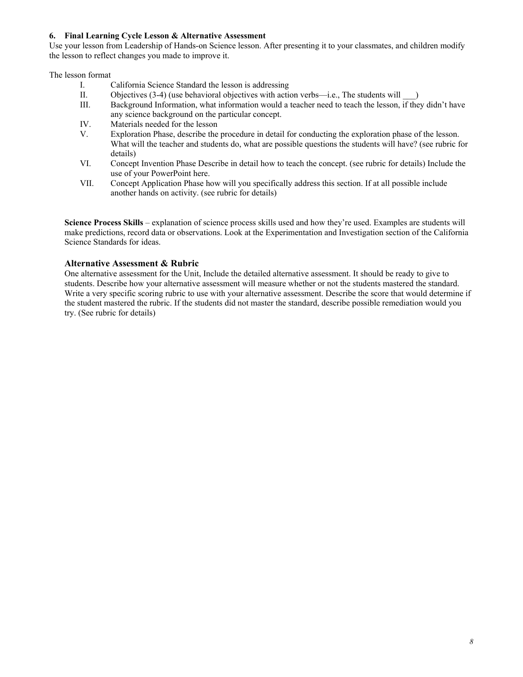### **6. Final Learning Cycle Lesson & Alternative Assessment**

Use your lesson from Leadership of Hands-on Science lesson. After presenting it to your classmates, and children modify the lesson to reflect changes you made to improve it.

The lesson format

- I. California Science Standard the lesson is addressing<br>II. Objectives (3-4) (use behavioral objectives with action
- Objectives  $(3-4)$  (use behavioral objectives with action verbs—i.e., The students will  $\qquad$ )
- III. Background Information, what information would a teacher need to teach the lesson, if they didn't have any science background on the particular concept.
- IV. Materials needed for the lesson
- V. Exploration Phase, describe the procedure in detail for conducting the exploration phase of the lesson. What will the teacher and students do, what are possible questions the students will have? (see rubric for details)
- VI. Concept Invention Phase Describe in detail how to teach the concept. (see rubric for details) Include the use of your PowerPoint here.
- VII. Concept Application Phase how will you specifically address this section. If at all possible include another hands on activity. (see rubric for details)

**Science Process Skills** – explanation of science process skills used and how they're used. Examples are students will make predictions, record data or observations. Look at the Experimentation and Investigation section of the California Science Standards for ideas.

## **Alternative Assessment & Rubric**

One alternative assessment for the Unit, Include the detailed alternative assessment. It should be ready to give to students. Describe how your alternative assessment will measure whether or not the students mastered the standard. Write a very specific scoring rubric to use with your alternative assessment. Describe the score that would determine if the student mastered the rubric. If the students did not master the standard, describe possible remediation would you try. (See rubric for details)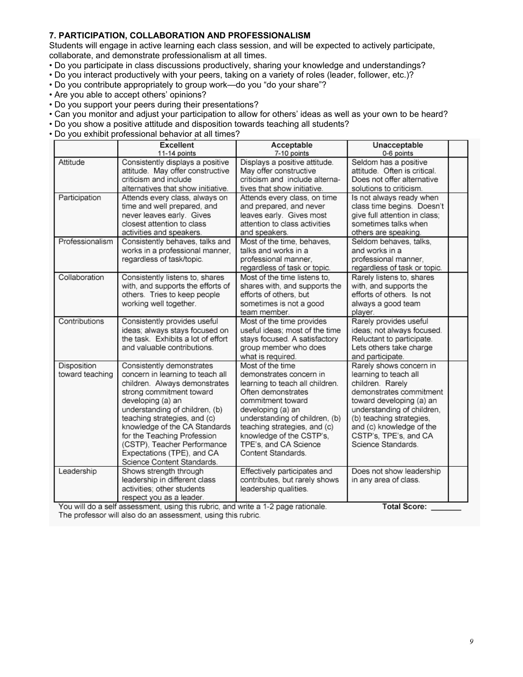## **7. PARTICIPATION, COLLABORATION AND PROFESSIONALISM**

Students will engage in active learning each class session, and will be expected to actively participate, collaborate, and demonstrate professionalism at all times.

- Do you participate in class discussions productively, sharing your knowledge and understandings?
- Do you interact productively with your peers, taking on a variety of roles (leader, follower, etc.)?
- Do you contribute appropriately to group work—do you "do your share"?
- Are you able to accept others' opinions?
- Do you support your peers during their presentations?
- Can you monitor and adjust your participation to allow for others' ideas as well as your own to be heard?
- Do you show a positive attitude and disposition towards teaching all students?
- Do you exhibit professional behavior at all times?

|                                | <b>Excellent</b>                                                                                                                                                                                                                                                                                                                                                             | Acceptable                                                                                                                                                                                                                                                                                  | Unacceptable                                                                                                                                                                                                                                                     |  |
|--------------------------------|------------------------------------------------------------------------------------------------------------------------------------------------------------------------------------------------------------------------------------------------------------------------------------------------------------------------------------------------------------------------------|---------------------------------------------------------------------------------------------------------------------------------------------------------------------------------------------------------------------------------------------------------------------------------------------|------------------------------------------------------------------------------------------------------------------------------------------------------------------------------------------------------------------------------------------------------------------|--|
|                                | 11-14 points                                                                                                                                                                                                                                                                                                                                                                 | 7-10 points                                                                                                                                                                                                                                                                                 | 0-6 points                                                                                                                                                                                                                                                       |  |
| Attitude                       | Consistently displays a positive<br>attitude. May offer constructive<br>criticism and include<br>alternatives that show initiative.                                                                                                                                                                                                                                          | Displays a positive attitude.<br>May offer constructive<br>criticism and include alterna-<br>tives that show initiative.                                                                                                                                                                    | Seldom has a positive<br>attitude. Often is critical.<br>Does not offer alternative<br>solutions to criticism.                                                                                                                                                   |  |
| Participation                  | Attends every class, always on<br>time and well prepared, and<br>never leaves early. Gives<br>closest attention to class<br>activities and speakers.                                                                                                                                                                                                                         | Attends every class, on time<br>and prepared, and never<br>leaves early. Gives most<br>attention to class activities<br>and speakers.                                                                                                                                                       | Is not always ready when<br>class time begins. Doesn't<br>give full attention in class;<br>sometimes talks when<br>others are speaking.                                                                                                                          |  |
| Professionalism                | Consistently behaves, talks and<br>works in a professional manner,<br>regardless of task/topic.                                                                                                                                                                                                                                                                              | Most of the time, behaves,<br>talks and works in a<br>professional manner,<br>regardless of task or topic.                                                                                                                                                                                  | Seldom behaves, talks,<br>and works in a<br>professional manner,<br>regardless of task or topic.                                                                                                                                                                 |  |
| Collaboration                  | Consistently listens to, shares<br>with, and supports the efforts of<br>others. Tries to keep people<br>working well together.                                                                                                                                                                                                                                               | Most of the time listens to.<br>shares with, and supports the<br>efforts of others, but<br>sometimes is not a good<br>team member.                                                                                                                                                          | Rarely listens to, shares<br>with, and supports the<br>efforts of others. Is not<br>always a good team<br>player.                                                                                                                                                |  |
| Contributions                  | Consistently provides useful<br>ideas; always stays focused on<br>the task. Exhibits a lot of effort<br>and valuable contributions.                                                                                                                                                                                                                                          | Most of the time provides<br>useful ideas; most of the time<br>stays focused. A satisfactory<br>group member who does<br>what is required.                                                                                                                                                  | Rarely provides useful<br>ideas; not always focused.<br>Reluctant to participate.<br>Lets others take charge<br>and participate.                                                                                                                                 |  |
| Disposition<br>toward teaching | Consistently demonstrates<br>concern in learning to teach all<br>children. Always demonstrates<br>strong commitment toward<br>developing (a) an<br>understanding of children, (b)<br>teaching strategies, and (c)<br>knowledge of the CA Standards<br>for the Teaching Profession<br>(CSTP), Teacher Performance<br>Expectations (TPE), and CA<br>Science Content Standards. | Most of the time<br>demonstrates concern in<br>learning to teach all children.<br>Often demonstrates<br>commitment toward<br>developing (a) an<br>understanding of children, (b)<br>teaching strategies, and (c)<br>knowledge of the CSTP's,<br>TPE's, and CA Science<br>Content Standards. | Rarely shows concern in<br>learning to teach all<br>children. Rarely<br>demonstrates commitment<br>toward developing (a) an<br>understanding of children,<br>(b) teaching strategies,<br>and (c) knowledge of the<br>CSTP's, TPE's, and CA<br>Science Standards. |  |
| Leadership                     | Shows strength through<br>leadership in different class<br>activities; other students<br>respect you as a leader.<br>You will do a self assessment, using this rubric, and write a 1-2 page rationale.                                                                                                                                                                       | Effectively participates and<br>contributes, but rarely shows<br>leadership qualities.                                                                                                                                                                                                      | Does not show leadership<br>in any area of class.<br><b>Total Score:</b>                                                                                                                                                                                         |  |

vill do a self assessment, using this rubric, and write a 1-2 page rationale. The professor will also do an assessment, using this rubric.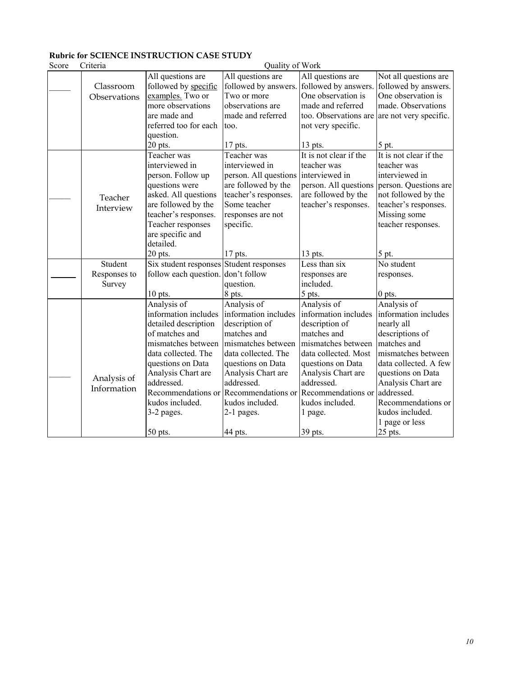# **Rubric for SCIENCE INSTRUCTION CASE STUDY**

| Score | Criteria     | Quality of Work                         |                                           |                        |                        |
|-------|--------------|-----------------------------------------|-------------------------------------------|------------------------|------------------------|
|       |              | All questions are                       | All questions are                         | All questions are      | Not all questions are  |
|       | Classroom    | followed by specific                    | followed by answers. followed by answers. |                        | followed by answers.   |
|       | Observations | examples. Two or                        | Two or more                               | One observation is     | One observation is     |
|       |              | more observations                       | observations are                          | made and referred      | made. Observations     |
|       |              | are made and                            | made and referred                         | too. Observations are  | are not very specific. |
|       |              | referred too for each                   | too.                                      | not very specific.     |                        |
|       |              | question.                               |                                           |                        |                        |
|       |              | 20 pts.                                 | 17 pts.                                   | 13 pts.                | 5 pt.                  |
|       |              | Teacher was                             | Teacher was                               | It is not clear if the | It is not clear if the |
|       |              | interviewed in                          | interviewed in                            | teacher was            | teacher was            |
|       |              | person. Follow up                       | person. All questions interviewed in      |                        | interviewed in         |
|       |              | questions were                          | are followed by the                       | person. All questions  | person. Questions are  |
|       | Teacher      | asked. All questions                    | teacher's responses.                      | are followed by the    | not followed by the    |
|       | Interview    | are followed by the                     | Some teacher                              | teacher's responses.   | teacher's responses.   |
|       |              | teacher's responses.                    | responses are not                         |                        | Missing some           |
|       |              | Teacher responses                       | specific.                                 |                        | teacher responses.     |
|       |              | are specific and                        |                                           |                        |                        |
|       |              | detailed.                               |                                           |                        |                        |
|       |              | 20 pts.                                 | 17 pts.                                   | $13$ pts.              | 5 pt.                  |
|       | Student      | Six student responses Student responses |                                           | Less than six          | No student             |
|       | Responses to | follow each question. don't follow      |                                           | responses are          | responses.             |
|       | Survey       |                                         | question.                                 | included.              |                        |
|       |              | $10$ pts.                               | 8 pts.                                    | 5 pts.                 | 0 pts.                 |
|       |              | Analysis of                             | Analysis of                               | Analysis of            | Analysis of            |
|       |              | information includes                    | information includes                      | information includes   | information includes   |
|       |              | detailed description                    | description of                            | description of         | nearly all             |
|       |              | of matches and                          | matches and                               | matches and            | descriptions of        |
|       |              | mismatches between                      | mismatches between                        | mismatches between     | matches and            |
|       |              | data collected. The                     | data collected. The                       | data collected. Most   | mismatches between     |
|       |              | questions on Data                       | questions on Data                         | questions on Data      | data collected. A few  |
|       | Analysis of  | Analysis Chart are                      | Analysis Chart are                        | Analysis Chart are     | questions on Data      |
|       | Information  | addressed.                              | addressed.                                | addressed.             | Analysis Chart are     |
|       |              | Recommendations or                      | Recommendations or                        | Recommendations or     | addressed.             |
|       |              | kudos included.                         | kudos included.                           | kudos included.        | Recommendations or     |
|       |              | 3-2 pages.                              | 2-1 pages.                                | 1 page.                | kudos included.        |
|       |              |                                         |                                           |                        | 1 page or less         |
|       |              | 50 pts.                                 | 44 pts.                                   | 39 pts.                | 25 pts.                |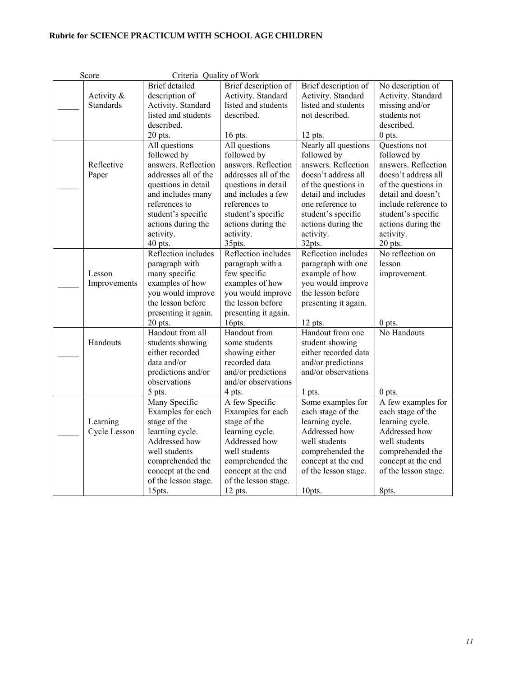# **Rubric for SCIENCE PRACTICUM WITH SCHOOL AGE CHILDREN**

| Score            | Criteria Quality of Work |                      |                      |                      |
|------------------|--------------------------|----------------------|----------------------|----------------------|
|                  | <b>Brief</b> detailed    | Brief description of | Brief description of | No description of    |
| Activity &       | description of           | Activity. Standard   | Activity. Standard   | Activity. Standard   |
| <b>Standards</b> | Activity. Standard       | listed and students  | listed and students  | missing and/or       |
|                  | listed and students      | described.           | not described.       | students not         |
|                  | described.               |                      |                      | described.           |
|                  | $20$ pts.                | 16 pts.              | $12$ pts.            | $0$ pts.             |
|                  | All questions            | All questions        | Nearly all questions | Questions not        |
|                  | followed by              | followed by          | followed by          | followed by          |
| Reflective       | answers. Reflection      | answers. Reflection  | answers. Reflection  | answers. Reflection  |
| Paper            | addresses all of the     | addresses all of the | doesn't address all  | doesn't address all  |
|                  | questions in detail      | questions in detail  | of the questions in  | of the questions in  |
|                  | and includes many        | and includes a few   | detail and includes  | detail and doesn't   |
|                  | references to            | references to        | one reference to     | include reference to |
|                  | student's specific       | student's specific   | student's specific   | student's specific   |
|                  | actions during the       | actions during the   | actions during the   | actions during the   |
|                  | activity.                | activity.            | activity.            | activity.            |
|                  | 40 pts.                  | 35pts.               | 32pts.               | 20 pts.              |
|                  | Reflection includes      | Reflection includes  | Reflection includes  | No reflection on     |
|                  | paragraph with           | paragraph with a     | paragraph with one   | lesson               |
| Lesson           | many specific            | few specific         | example of how       | improvement.         |
| Improvements     | examples of how          | examples of how      | you would improve    |                      |
|                  | you would improve        | you would improve    | the lesson before    |                      |
|                  | the lesson before        | the lesson before    | presenting it again. |                      |
|                  | presenting it again.     | presenting it again. |                      |                      |
|                  | 20 pts.                  | 16pts.               | 12 pts.              | $0$ pts.             |
|                  | Handout from all         | Handout from         | Handout from one     | No Handouts          |
| Handouts         | students showing         | some students        | student showing      |                      |
|                  | either recorded          | showing either       | either recorded data |                      |
|                  | data and/or              | recorded data        | and/or predictions   |                      |
|                  | predictions and/or       | and/or predictions   | and/or observations  |                      |
|                  | observations             | and/or observations  |                      |                      |
|                  | 5 pts.                   | 4 pts.               | 1 pts.               | $0$ pts.             |
|                  | Many Specific            | A few Specific       | Some examples for    | A few examples for   |
|                  | Examples for each        | Examples for each    | each stage of the    | each stage of the    |
| Learning         | stage of the             | stage of the         | learning cycle.      | learning cycle.      |
| Cycle Lesson     | learning cycle.          | learning cycle.      | Addressed how        | Addressed how        |
|                  | Addressed how            | Addressed how        | well students        | well students        |
|                  | well students            | well students        | comprehended the     | comprehended the     |
|                  | comprehended the         | comprehended the     | concept at the end   | concept at the end   |
|                  | concept at the end       | concept at the end   | of the lesson stage. | of the lesson stage. |
|                  | of the lesson stage.     | of the lesson stage. |                      |                      |
|                  | 15pts.                   | 12 pts.              | 10pts.               | 8pts.                |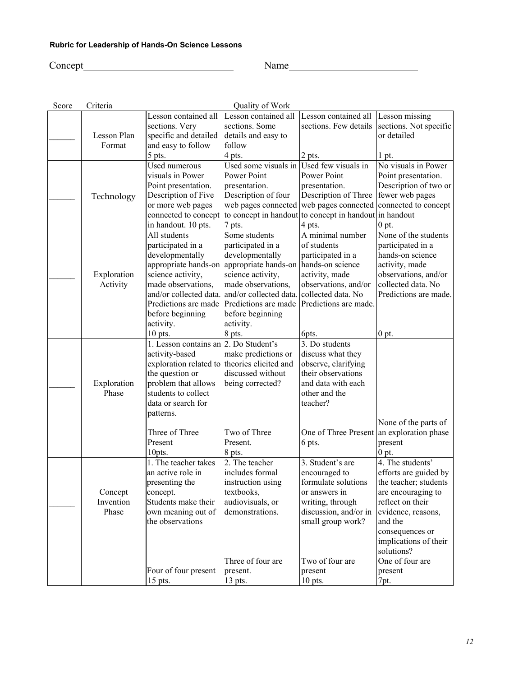# **Rubric for Leadership of Hands-On Science Lessons**

Concept Name Name

| Score | Criteria    |                        | Quality of Work                       |                                                        |                                              |
|-------|-------------|------------------------|---------------------------------------|--------------------------------------------------------|----------------------------------------------|
|       |             | Lesson contained all   | Lesson contained all                  | Lesson contained all Lesson missing                    |                                              |
|       |             | sections. Very         | sections. Some                        |                                                        | sections. Few details sections. Not specific |
|       | Lesson Plan | specific and detailed  | details and easy to                   |                                                        | or detailed                                  |
|       | Format      | and easy to follow     | follow                                |                                                        |                                              |
|       |             | 5 pts.                 | 4 pts.                                | 2 pts.                                                 | 1 pt.                                        |
|       |             | Used numerous          | Used some visuals in                  | Used few visuals in                                    | No visuals in Power                          |
|       |             | visuals in Power       | Power Point                           | Power Point                                            | Point presentation.                          |
|       |             | Point presentation.    | presentation.                         | presentation.                                          | Description of two or                        |
|       | Technology  | Description of Five    | Description of four                   | Description of Three                                   | fewer web pages                              |
|       |             | or more web pages      | web pages connected                   | web pages connected connected to concept               |                                              |
|       |             | connected to concept   |                                       | to concept in handout to concept in handout in handout |                                              |
|       |             | in handout. 10 pts.    | 7 pts.                                | 4 pts.                                                 | $0$ pt.                                      |
|       |             | All students           | Some students                         | A minimal number                                       | None of the students                         |
|       |             | participated in a      | participated in a                     | of students                                            | participated in a                            |
|       |             | developmentally        | developmentally                       | participated in a                                      | hands-on science                             |
|       |             | appropriate hands-on   | appropriate hands-on hands-on science |                                                        | activity, made                               |
|       | Exploration | science activity,      | science activity,                     | activity, made                                         | observations, and/or                         |
|       | Activity    | made observations,     | made observations,                    | observations, and/or                                   | collected data. No                           |
|       |             | and/or collected data. | and/or collected data.                | collected data. No                                     | Predictions are made.                        |
|       |             | Predictions are made   | Predictions are made                  | Predictions are made.                                  |                                              |
|       |             | before beginning       | before beginning                      |                                                        |                                              |
|       |             | activity.              | activity.                             |                                                        |                                              |
|       |             | $10$ pts.              | 8 pts.                                | 6pts.                                                  | $0$ pt.                                      |
|       |             | 1. Lesson contains an  | 2. Do Student's                       | 3. Do students                                         |                                              |
|       |             | activity-based         | make predictions or                   | discuss what they                                      |                                              |
|       |             | exploration related to | theories elicited and                 | observe, clarifying                                    |                                              |
|       |             | the question or        | discussed without                     | their observations                                     |                                              |
|       | Exploration | problem that allows    | being corrected?                      | and data with each                                     |                                              |
|       | Phase       | students to collect    |                                       | other and the                                          |                                              |
|       |             | data or search for     |                                       | teacher?                                               |                                              |
|       |             | patterns.              |                                       |                                                        |                                              |
|       |             |                        |                                       |                                                        | None of the parts of                         |
|       |             | Three of Three         | Two of Three                          | One of Three Present an exploration phase              |                                              |
|       |             | Present                | Present.                              | 6 pts.                                                 | present                                      |
|       |             | 10pts.                 | 8 pts.                                |                                                        | $0$ pt.                                      |
|       |             | 1. The teacher takes   | 2. The teacher                        | 3. Student's are                                       | 4. The students'                             |
|       |             | an active role in      | includes formal                       | encouraged to                                          | efforts are guided by                        |
|       |             | presenting the         | instruction using                     | formulate solutions                                    | the teacher; students                        |
|       | Concept     | concept.               | textbooks,                            | or answers in                                          | are encouraging to                           |
|       | Invention   | Students make their    | audiovisuals, or                      | writing, through                                       | reflect on their                             |
|       | Phase       | own meaning out of     | demonstrations.                       | discussion, and/or in                                  | evidence, reasons,                           |
|       |             | the observations       |                                       | small group work?                                      | and the                                      |
|       |             |                        |                                       |                                                        | consequences or                              |
|       |             |                        |                                       |                                                        | implications of their                        |
|       |             |                        |                                       |                                                        | solutions?                                   |
|       |             |                        | Three of four are                     | Two of four are                                        | One of four are                              |
|       |             | Four of four present   | present.                              | present                                                | present                                      |
|       |             | 15 pts.                | 13 pts.                               | $10$ pts.                                              | 7pt.                                         |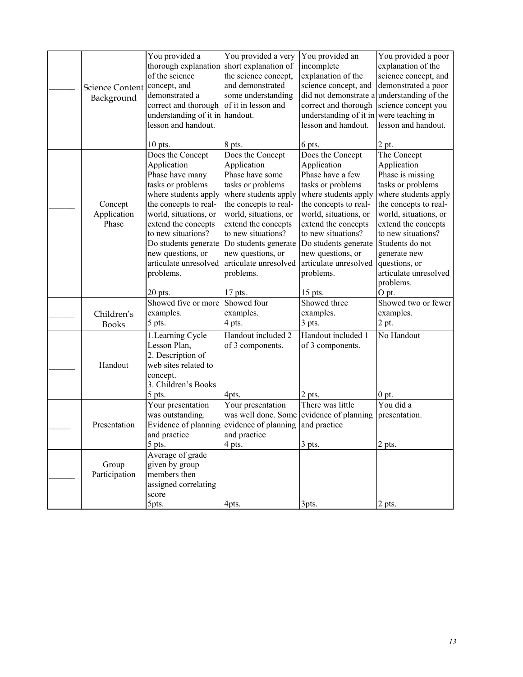|                        | You provided a                  | You provided a very                         | You provided an                            | You provided a poor          |
|------------------------|---------------------------------|---------------------------------------------|--------------------------------------------|------------------------------|
|                        | thorough explanation            | short explanation of                        | incomplete                                 | explanation of the           |
|                        | of the science                  | the science concept,                        | explanation of the                         | science concept, and         |
| <b>Science Content</b> | concept, and                    | and demonstrated                            | science concept, and                       | demonstrated a poor          |
| Background             | demonstrated a                  | some understanding                          | did not demonstrate a understanding of the |                              |
|                        | correct and thorough            | of it in lesson and                         | correct and thorough                       | science concept you          |
|                        | understanding of it in handout. |                                             | understanding of it in were teaching in    |                              |
|                        | lesson and handout.             |                                             | lesson and handout.                        | lesson and handout.          |
|                        | $10$ pts.                       | 8 pts.                                      | 6 pts.                                     | 2 pt.                        |
|                        | Does the Concept                | Does the Concept                            | Does the Concept                           | The Concept                  |
|                        | Application                     | Application                                 | Application                                | Application                  |
|                        | Phase have many                 | Phase have some                             | Phase have a few                           | Phase is missing             |
|                        | tasks or problems               | tasks or problems                           | tasks or problems                          | tasks or problems            |
|                        | where students apply            | where students apply                        | where students apply                       | where students apply         |
| Concept                | the concepts to real-           | the concepts to real-                       | the concepts to real-                      | the concepts to real-        |
| Application            | world, situations, or           | world, situations, or                       | world, situations, or                      | world, situations, or        |
| Phase                  | extend the concepts             | extend the concepts                         | extend the concepts                        | extend the concepts          |
|                        | to new situations?              | to new situations?                          | to new situations?                         | to new situations?           |
|                        | Do students generate            | Do students generate                        | Do students generate                       | Students do not              |
|                        | new questions, or               | new questions, or                           | new questions, or                          | generate new                 |
|                        | articulate unresolved           | articulate unresolved                       | articulate unresolved                      | questions, or                |
|                        | problems.                       | problems.                                   | problems.                                  | articulate unresolved        |
|                        |                                 |                                             |                                            | problems.                    |
|                        | 20 pts.<br>Showed five or more  | 17 pts.                                     | 15 pts.                                    | O pt.<br>Showed two or fewer |
|                        |                                 | Showed four                                 | Showed three                               |                              |
| Children's             | examples.                       | examples.                                   | examples.                                  | examples.                    |
| <b>Books</b>           | 5 pts.                          | 4 pts.                                      | $3$ pts.                                   | 2 pt.                        |
|                        | 1. Learning Cycle               | Handout included 2                          | Handout included 1                         | No Handout                   |
|                        | Lesson Plan,                    | of 3 components.                            | of 3 components.                           |                              |
|                        | 2. Description of               |                                             |                                            |                              |
| Handout                | web sites related to            |                                             |                                            |                              |
|                        | concept.                        |                                             |                                            |                              |
|                        | 3. Children's Books             |                                             |                                            |                              |
|                        | 5 pts.                          | 4pts.                                       | 2 pts.<br>There was little                 | $0$ pt.<br>You did a         |
|                        | Your presentation               | Your presentation                           |                                            |                              |
|                        | was outstanding.                | was well done. Some<br>evidence of planning | evidence of planning<br>and practice       | presentation.                |
| Presentation           | Evidence of planning            |                                             |                                            |                              |
|                        | and practice<br>5 pts.          | and practice<br>4 pts.                      | $3$ pts.                                   | 2 pts.                       |
|                        | Average of grade                |                                             |                                            |                              |
| Group                  | given by group                  |                                             |                                            |                              |
| Participation          | members then                    |                                             |                                            |                              |
|                        | assigned correlating            |                                             |                                            |                              |
|                        | score                           |                                             |                                            |                              |
|                        | 5pts.                           | 4pts.                                       | 3pts.                                      | 2 pts.                       |
|                        |                                 |                                             |                                            |                              |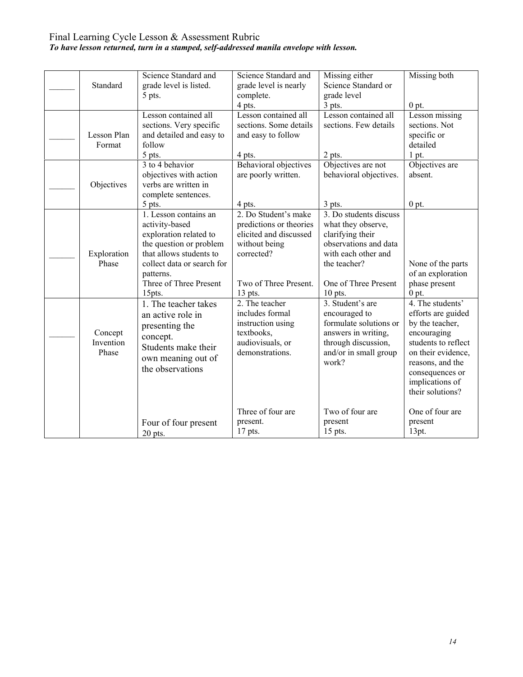## Final Learning Cycle Lesson & Assessment Rubric *To have lesson returned, turn in a stamped, self-addressed manila envelope with lesson.*

| Standard                      | Science Standard and<br>grade level is listed.<br>5 pts.                                                                                                                                               | Science Standard and<br>grade level is nearly<br>complete.<br>4 pts.                                                                           | Missing either<br>Science Standard or<br>grade level<br>$3$ pts.                                                                                                      | Missing both<br>$0$ pt.                                                                                                                                                                             |
|-------------------------------|--------------------------------------------------------------------------------------------------------------------------------------------------------------------------------------------------------|------------------------------------------------------------------------------------------------------------------------------------------------|-----------------------------------------------------------------------------------------------------------------------------------------------------------------------|-----------------------------------------------------------------------------------------------------------------------------------------------------------------------------------------------------|
| Lesson Plan<br>Format         | Lesson contained all<br>sections. Very specific<br>and detailed and easy to<br>follow<br>$5$ pts.                                                                                                      | Lesson contained all<br>sections. Some details<br>and easy to follow<br>4 pts.                                                                 | Lesson contained all<br>sections. Few details<br>2 pts.                                                                                                               | Lesson missing<br>sections. Not<br>specific or<br>detailed<br>$1$ pt.                                                                                                                               |
| Objectives                    | 3 to 4 behavior<br>objectives with action<br>verbs are written in<br>complete sentences.<br>5 pts.                                                                                                     | Behavioral objectives<br>are poorly written.<br>4 pts.                                                                                         | Objectives are not<br>behavioral objectives.<br>$3$ pts.                                                                                                              | Objectives are<br>absent.<br>$0$ pt.                                                                                                                                                                |
| Exploration<br>Phase          | 1. Lesson contains an<br>activity-based<br>exploration related to<br>the question or problem<br>that allows students to<br>collect data or search for<br>patterns.<br>Three of Three Present<br>15pts. | 2. Do Student's make<br>predictions or theories<br>elicited and discussed<br>without being<br>corrected?<br>Two of Three Present.<br>$13$ pts. | 3. Do students discuss<br>what they observe,<br>clarifying their<br>observations and data<br>with each other and<br>the teacher?<br>One of Three Present<br>$10$ pts. | None of the parts<br>of an exploration<br>phase present<br>$0$ pt.                                                                                                                                  |
| Concept<br>Invention<br>Phase | 1. The teacher takes<br>an active role in<br>presenting the<br>concept.<br>Students make their<br>own meaning out of<br>the observations                                                               | 2. The teacher<br>includes formal<br>instruction using<br>textbooks,<br>audiovisuals, or<br>demonstrations.                                    | 3. Student's are<br>encouraged to<br>formulate solutions or<br>answers in writing,<br>through discussion,<br>and/or in small group<br>work?                           | 4. The students'<br>efforts are guided<br>by the teacher,<br>encouraging<br>students to reflect<br>on their evidence,<br>reasons, and the<br>consequences or<br>implications of<br>their solutions? |
|                               | Four of four present<br>20 pts.                                                                                                                                                                        | Three of four are<br>present.<br>17 pts.                                                                                                       | Two of four are<br>present<br>15 pts.                                                                                                                                 | One of four are<br>present<br>13pt.                                                                                                                                                                 |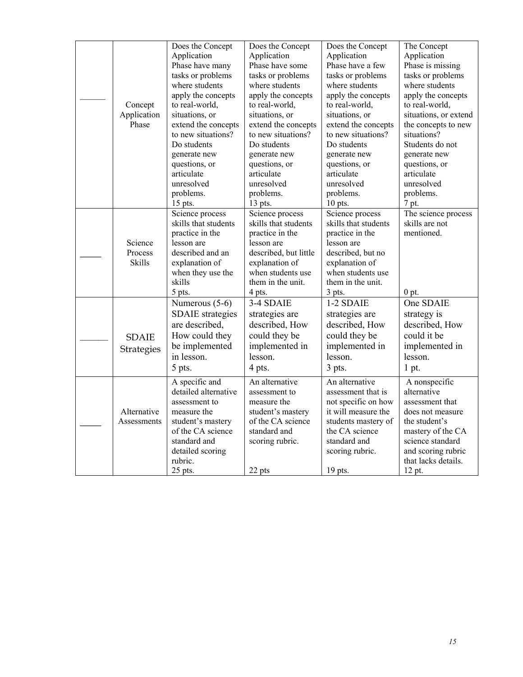| Concept<br>Application<br>Phase | Does the Concept<br>Application<br>Phase have many<br>tasks or problems<br>where students<br>apply the concepts<br>to real-world,<br>situations, or<br>extend the concepts<br>to new situations?<br>Do students<br>generate new<br>questions, or<br>articulate<br>unresolved<br>problems.<br>$15$ pts. | Does the Concept<br>Application<br>Phase have some<br>tasks or problems<br>where students<br>apply the concepts<br>to real-world,<br>situations, or<br>extend the concepts<br>to new situations?<br>Do students<br>generate new<br>questions, or<br>articulate<br>unresolved<br>problems.<br>13 pts. | Does the Concept<br>Application<br>Phase have a few<br>tasks or problems<br>where students<br>apply the concepts<br>to real-world,<br>situations, or<br>extend the concepts<br>to new situations?<br>Do students<br>generate new<br>questions, or<br>articulate<br>unresolved<br>problems.<br>10 pts. | The Concept<br>Application<br>Phase is missing<br>tasks or problems<br>where students<br>apply the concepts<br>to real-world,<br>situations, or extend<br>the concepts to new<br>situations?<br>Students do not<br>generate new<br>questions, or<br>articulate<br>unresolved<br>problems.<br>7 pt. |
|---------------------------------|--------------------------------------------------------------------------------------------------------------------------------------------------------------------------------------------------------------------------------------------------------------------------------------------------------|------------------------------------------------------------------------------------------------------------------------------------------------------------------------------------------------------------------------------------------------------------------------------------------------------|-------------------------------------------------------------------------------------------------------------------------------------------------------------------------------------------------------------------------------------------------------------------------------------------------------|----------------------------------------------------------------------------------------------------------------------------------------------------------------------------------------------------------------------------------------------------------------------------------------------------|
| Science<br>Process<br>Skills    | Science process<br>skills that students<br>practice in the<br>lesson are<br>described and an<br>explanation of<br>when they use the<br>skills<br>5 pts.                                                                                                                                                | Science process<br>skills that students<br>practice in the<br>lesson are<br>described, but little<br>explanation of<br>when students use<br>them in the unit.<br>4 pts.                                                                                                                              | Science process<br>skills that students<br>practice in the<br>lesson are<br>described, but no<br>explanation of<br>when students use<br>them in the unit.<br>3 pts.                                                                                                                                   | The science process<br>skills are not<br>mentioned.<br>$0$ pt.                                                                                                                                                                                                                                     |
| <b>SDAIE</b><br>Strategies      | Numerous (5-6)<br><b>SDAIE</b> strategies<br>are described,<br>How could they<br>be implemented<br>in lesson.<br>5 pts.                                                                                                                                                                                | 3-4 SDAIE<br>strategies are<br>described, How<br>could they be<br>implemented in<br>lesson.<br>4 pts.                                                                                                                                                                                                | 1-2 SDAIE<br>strategies are<br>described, How<br>could they be<br>implemented in<br>lesson.<br>3 pts.                                                                                                                                                                                                 | One SDAIE<br>strategy is<br>described, How<br>could it be<br>implemented in<br>lesson.<br>1 pt.                                                                                                                                                                                                    |
| Alternative<br>Assessments      | A specific and<br>detailed alternative<br>assessment to<br>measure the<br>student's mastery<br>of the CA science<br>standard and<br>detailed scoring<br>rubric.<br>25 pts.                                                                                                                             | An alternative<br>assessment to<br>measure the<br>student's mastery<br>of the CA science<br>standard and<br>scoring rubric.<br>22 pts                                                                                                                                                                | An alternative<br>assessment that is<br>not specific on how<br>it will measure the<br>students mastery of<br>the CA science<br>standard and<br>scoring rubric.<br>19 pts.                                                                                                                             | A nonspecific<br>alternative<br>assessment that<br>does not measure<br>the student's<br>mastery of the CA<br>science standard<br>and scoring rubric<br>that lacks details.<br>12 pt.                                                                                                               |